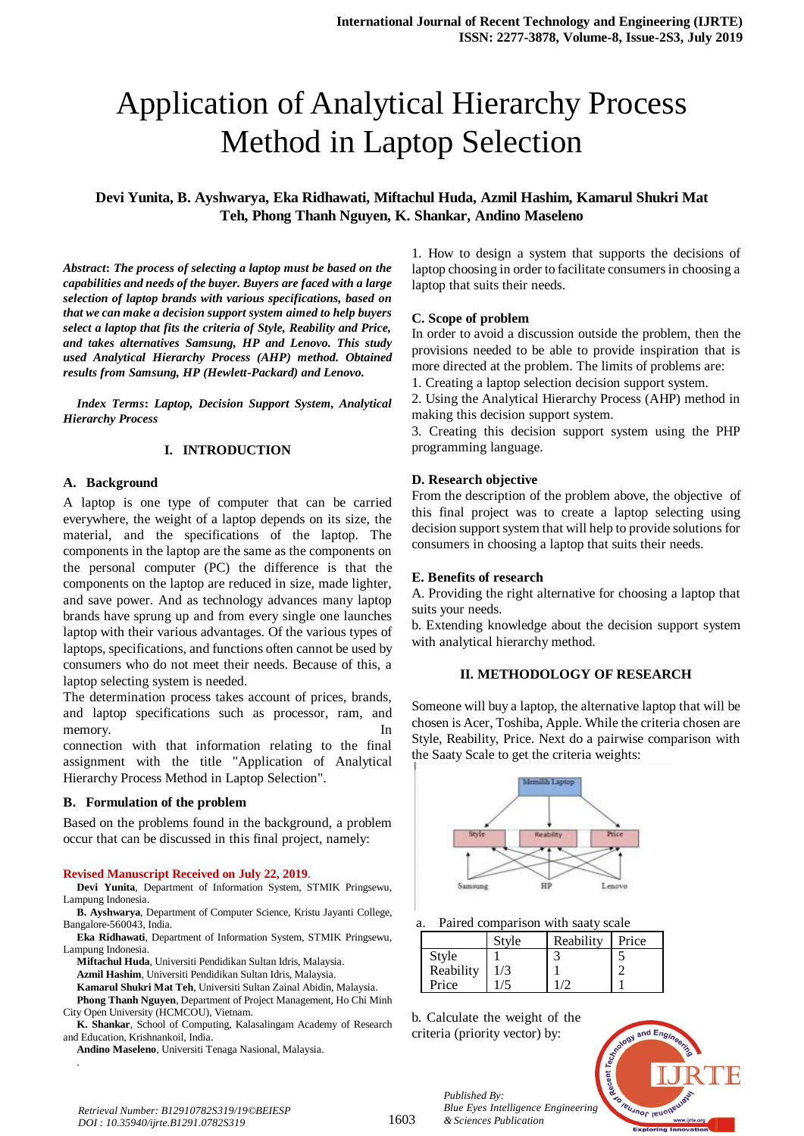# Application of Analytical Hierarchy Process Method in Laptop Selection

# **Devi Yunita, B. Ayshwarya, Eka Ridhawati, Miftachul Huda, Azmil Hashim, Kamarul Shukri Mat Teh, Phong Thanh Nguyen, K. Shankar, Andino Maseleno**

*Abstract***:** *The process of selecting a laptop must be based on the capabilities and needs of the buyer. Buyers are faced with a large selection of laptop brands with various specifications, based on that we can make a decision support system aimed to help buyers select a laptop that fits the criteria of Style, Reability and Price, and takes alternatives Samsung, HP and Lenovo. This study used Analytical Hierarchy Process (AHP) method. Obtained results from Samsung, HP (Hewlett-Packard) and Lenovo.*

*Index Terms***:** *Laptop, Decision Support System, Analytical Hierarchy Process*

## **I. INTRODUCTION**

## **A. Background**

A laptop is one type of computer that can be carried everywhere, the weight of a laptop depends on its size, the material, and the specifications of the laptop. The components in the laptop are the same as the components on the personal computer (PC) the difference is that the components on the laptop are reduced in size, made lighter, and save power. And as technology advances many laptop brands have sprung up and from every single one launches laptop with their various advantages. Of the various types of laptops, specifications, and functions often cannot be used by consumers who do not meet their needs. Because of this, a laptop selecting system is needed.

The determination process takes account of prices, brands, and laptop specifications such as processor, ram, and memory. In

connection with that information relating to the final assignment with the title "Application of Analytical Hierarchy Process Method in Laptop Selection".

## **B. Formulation of the problem**

Based on the problems found in the background, a problem occur that can be discussed in this final project, namely:

#### **Revised Manuscript Received on July 22, 2019**.

**Devi Yunita**, Department of Information System, STMIK Pringsewu, Lampung Indonesia.

- **B. Ayshwarya**, Department of Computer Science, Kristu Jayanti College, Bangalore-560043, India.
- **Eka Ridhawati**, Department of Information System, STMIK Pringsewu, Lampung Indonesia.
	- **Miftachul Huda**, Universiti Pendidikan Sultan Idris, Malaysia.
	- **Azmil Hashim**, Universiti Pendidikan Sultan Idris, Malaysia.

**Kamarul Shukri Mat Teh**, Universiti Sultan Zainal Abidin, Malaysia.

**Phong Thanh Nguyen**, Department of Project Management, Ho Chi Minh City Open University (HCMCOU), Vietnam.

**K. Shankar**, School of Computing, Kalasalingam Academy of Research and Education, Krishnankoil, India.

**Andino Maseleno**, Universiti Tenaga Nasional, Malaysia.

1. How to design a system that supports the decisions of laptop choosing in order to facilitate consumers in choosing a laptop that suits their needs.

## **C. Scope of problem**

In order to avoid a discussion outside the problem, then the provisions needed to be able to provide inspiration that is more directed at the problem. The limits of problems are:

1. Creating a laptop selection decision support system.

2. Using the Analytical Hierarchy Process (AHP) method in making this decision support system.

3. Creating this decision support system using the PHP programming language.

#### **D. Research objective**

From the description of the problem above, the objective of this final project was to create a laptop selecting using decision support system that will help to provide solutions for consumers in choosing a laptop that suits their needs.

#### **E. Benefits of research**

A. Providing the right alternative for choosing a laptop that suits your needs.

b. Extending knowledge about the decision support system with analytical hierarchy method.

## **II. METHODOLOGY OF RESEARCH**

Someone will buy a laptop, the alternative laptop that will be chosen is Acer, Toshiba, Apple. While the criteria chosen are Style, Reability, Price. Next do a pairwise comparison with the Saaty Scale to get the criteria weights:



Paired comparison with saaty scale

|           | Style | Reability | Price |
|-----------|-------|-----------|-------|
| Style     |       |           |       |
| Reability |       |           |       |
| Price     |       |           |       |

b. Calculate the weight of the criteria (priority vector) by:

*& Sciences Publication* 

*Published By:*



*Retrieval Number: B12910782S319/19©BEIESP DOI : 10.35940/ijrte.B1291.0782S319*

.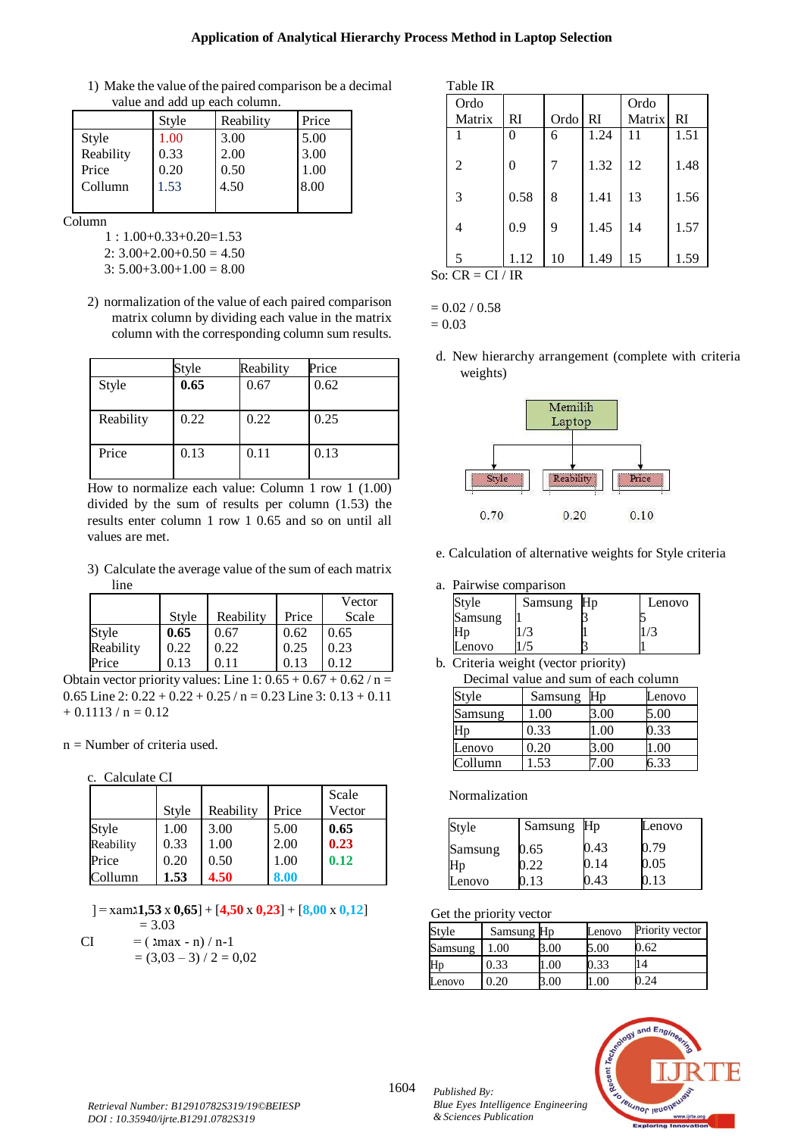## **Application of Analytical Hierarchy Process Method in Laptop Selection**

1) Make the value of the paired comparison be a decimal value and add up each column.

| , ans ans ass as caen consumer. |       |           |       |  |
|---------------------------------|-------|-----------|-------|--|
|                                 | Style | Reability | Price |  |
| Style                           | 1.00  | 3.00      | 5.00  |  |
| Reability                       | 0.33  | 2.00      | 3.00  |  |
| Price                           | 0.20  | 0.50      | 1.00  |  |
| Collumn                         | 1.53  | 4.50      | 8.00  |  |
|                                 |       |           |       |  |

Column

- 1 : 1.00+0.33+0.20=1.53
- $2: 3.00+2.00+0.50 = 4.50$
- 3:  $5.00+3.00+1.00 = 8.00$
- 2) normalization of the value of each paired comparison matrix column by dividing each value in the matrix column with the corresponding column sum results.

|           | Style | Reability | Price |
|-----------|-------|-----------|-------|
| Style     | 0.65  | 0.67      | 0.62  |
| Reability | 0.22  | 0.22      | 0.25  |
| Price     | 0.13  | 0.11      | 0.13  |

How to normalize each value: Column 1 row 1 (1.00) divided by the sum of results per column (1.53) the results enter column 1 row 1 0.65 and so on until all values are met.

3) Calculate the average value of the sum of each matrix line

|           |       |           |       | Vector |
|-----------|-------|-----------|-------|--------|
|           | Style | Reability | Price | Scale  |
| Style     | 0.65  | 0.67      | 0.62  | 0.65   |
| Reability | 0.22  | 0.22      | 0.25  | 0.23   |
| Price     | 0.13  | 0.11      | 0.13  | 0.12   |

Obtain vector priority values: Line 1:  $0.65 + 0.67 + 0.62 / n =$ 0.65 Line 2:  $0.22 + 0.22 + 0.25 / n = 0.23$  Line 3:  $0.13 + 0.11$  $+ 0.1113 / n = 0.12$ 

n = Number of criteria used.

c. Calculate CI

|           |       |           |       | Scale  |
|-----------|-------|-----------|-------|--------|
|           | Style | Reability | Price | Vector |
| Style     | 1.00  | 3.00      | 5.00  | 0.65   |
| Reability | 0.33  | 1.00      | 2.00  | 0.23   |
| Price     | 0.20  | 0.50      | 1.00  | 0.12   |
| Collumn   | 1.53  | 4.50      | 8.00  |        |

[ = xamג**1,53** x **0,65**] + [**4,50** x **0,23**] + [**8,00** x **0,12**]  $= 3.03$ 

CI = 
$$
(\text{Imax} - \text{n}) / \text{n-1}
$$
  
=  $(3,03-3) / 2 = 0,02$ 

| able | IR |
|------|----|
|      |    |

| Ordo               |      |      |      | Ordo   |      |
|--------------------|------|------|------|--------|------|
| Matrix             | RI   | Ordo | l RI | Matrix | RI   |
|                    | 0    | 6    | 1.24 | 11     | 1.51 |
|                    |      |      |      |        |      |
| 2                  | 0    | 7    | 1.32 | 12     | 1.48 |
|                    |      |      |      |        |      |
| 3                  | 0.58 | 8    | 1.41 | 13     | 1.56 |
|                    |      |      |      |        |      |
| 4                  | 0.9  | 9    | 1.45 | 14     | 1.57 |
|                    |      |      |      |        |      |
| 5                  | 1.12 | 10   | 1.49 | 15     | 1.59 |
| . $CD$<br>$ C1/1D$ |      |      |      |        |      |

So:  $CR = CI / IR$ 

 $= 0.02 / 0.58$  $= 0.03$ 

d. New hierarchy arrangement (complete with criteria weights)



e. Calculation of alternative weights for Style criteria

a. Pairwise comparison

| Style   | Samsung | $H_{D}$ | Lenovo |
|---------|---------|---------|--------|
| Samsung |         |         |        |
| ١n      |         |         |        |
| enovo   |         |         |        |

b. Criteria weight (vector priority)

| Decimal value and sum of each column |         |                   |        |  |  |
|--------------------------------------|---------|-------------------|--------|--|--|
| Style                                | Samsung |                   | Lenovo |  |  |
| Samsung                              | 1.00    | 8.00              | 5.00   |  |  |
| .1p                                  | 0.33    | l.00              | 0.33   |  |  |
| Lenovo                               | 0.20    | 00.8              | .00    |  |  |
| Collumn                              | 1.53    | $^{\prime\prime}$ | 6.33   |  |  |

Normalization

| Style   | Samsung | H <sub>p</sub> | Lenovo |
|---------|---------|----------------|--------|
| Samsung | 0.65    | ).43           | 0.79   |
| Hp      | . 22    | 0.14           | 0.05   |
| enovo   |         | ,43            |        |

Get the priority vector

| Style   | Samsung Hp |     | Lenovo | Priority vector |
|---------|------------|-----|--------|-----------------|
| Samsung | 1.00       | .00 | 5.00   | ).62            |
| Hp      | 0.33       | .00 | ).33   | 14              |
| Lenovo  | 0.20       | 00  |        | 24              |



1604 *Published By: Blue Eyes Intelligence Engineering & Sciences Publication*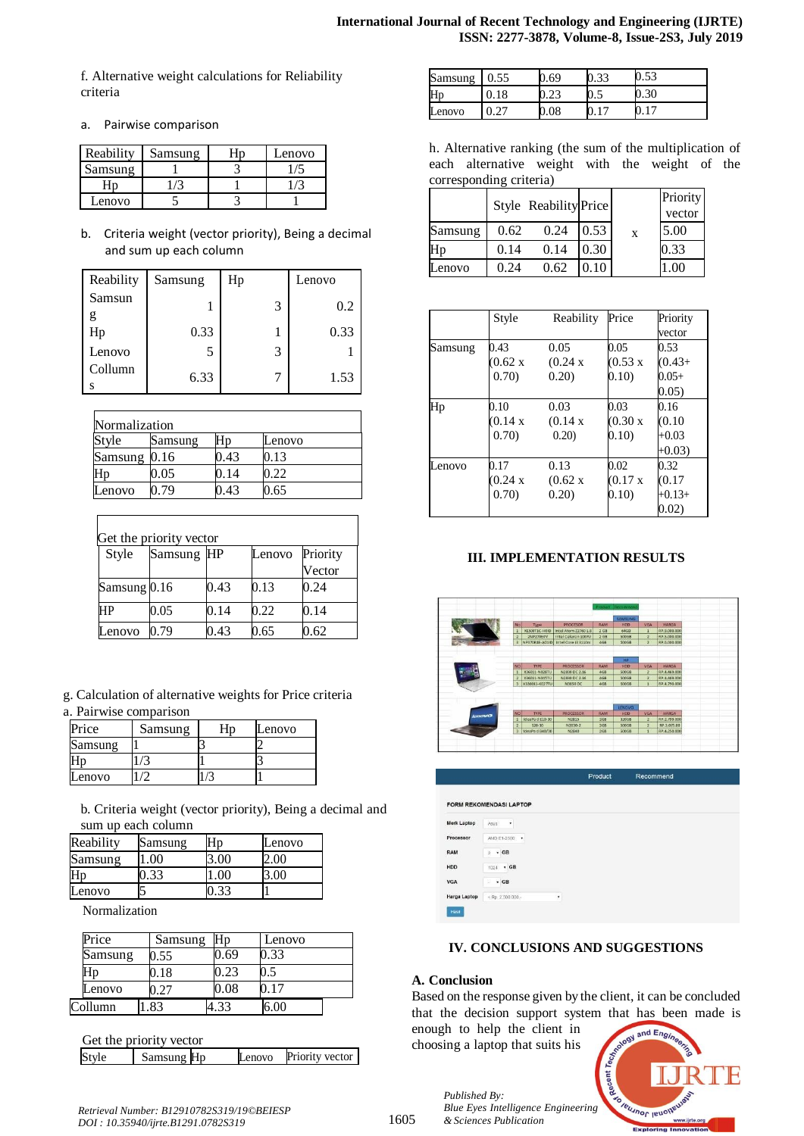f. Alternative weight calculations for Reliability criteria

a. Pairwise comparison

| Reability | Samsung | Lenovo |
|-----------|---------|--------|
| samsung   |         |        |
|           |         |        |
| Lenovo    |         |        |

b. Criteria weight (vector priority), Being a decimal and sum up each column

| Reability | Samsung | Hp |   | Lenovo |
|-----------|---------|----|---|--------|
| Samsun    |         |    | 3 | 0.2    |
| g<br>Hp   | 0.33    |    |   | 0.33   |
| Lenovo    | 5       |    | 3 |        |
| Collumn   | 6.33    |    |   | 1.53   |

| Normalization |         |      |        |  |
|---------------|---------|------|--------|--|
| Style         | Samsung |      | Lenovo |  |
| Samsung 0.16  |         | ).43 | 0.13   |  |
|               | 0.05    | 0.14 | 0.22   |  |
| Lenovo        | 0.79    | ).43 | 0.65   |  |

|              | Get the priority vector |      |        |          |
|--------------|-------------------------|------|--------|----------|
| Style        | Samsung HP              |      | Lenovo | Priority |
|              |                         |      |        | Vector   |
| Samsung 0.16 |                         | 0.43 | 0.13   | 0.24     |
| HP           | 0.05                    | 0.14 | 0.22   | 0.14     |
| Lenovo       | 0.79                    | 0.43 | 0.65   | 0.62     |

g. Calculation of alternative weights for Price criteria a. Pairwise comparison

| Price   | Samsung | Lenovo |
|---------|---------|--------|
| samsung |         |        |
|         |         |        |
| Lenovo  |         |        |

b. Criteria weight (vector priority), Being a decimal and sum up each column

| Reability | Samsung | ٦n | Lenovo |
|-----------|---------|----|--------|
| Samsung   |         |    | $-00$  |
| Hp        | າາ      |    |        |
| Lenovo    |         |    |        |

Normalization

| Price   | Samsung | Hp   | Lenovo |
|---------|---------|------|--------|
| Samsung | 0.55    | .69  | ).33   |
| Нŋ      | ).18    | 1.23 |        |
| Lenovo  |         | 0.08 | 0.17   |
| Collumn | 83      |      |        |

|       | Get the priority vector |        |                 |
|-------|-------------------------|--------|-----------------|
| Style | Samsung Hp              | Lenovo | Priority vector |

| Samsung | 69 | v. J. | U.JJ  |
|---------|----|-------|-------|
| Hp      |    | v.J   | v. JU |
| Lenovo  |    |       |       |

h. Alternative ranking (the sum of the multiplication of each alternative weight with the weight of the corresponding criteria)

|         |      | Style Reability Price |      |   | Priority<br>vector |
|---------|------|-----------------------|------|---|--------------------|
| Samsung | 0.62 | 0.24                  | 0.53 | X | 5.00               |
| Нp      | 0.14 | 0.14                  | 0.30 |   | 0.33               |
| enovo   | 0.24 | 0.62                  |      |   |                    |

|         | Style              | Reability          | Price          | Priority  |
|---------|--------------------|--------------------|----------------|-----------|
|         |                    |                    |                | vector    |
| Samsung | 0.43               | 0.05               | 0.05           | 0.53      |
|         | $(0.62 \text{ x})$ | (0.24 x)           | $(0.53 \times$ | $(0.43 +$ |
|         | 0.70)              | 0.20)              | 0.10)          | $0.05+$   |
|         |                    |                    |                | 0.05)     |
| Hp      | 0.10               | 0.03               | 0.03           | 0.16      |
|         | (0.14 x)           | (0.14 x)           | (0.30 x)       | (0.10)    |
|         | 0.70)              | 0.20               | (0.10)         | $+0.03$   |
|         |                    |                    |                | $+0.03$   |
| Lenovo  | 0.17               | 0.13               | 0.02           | 0.32      |
|         | (0.24 x)           | $(0.62 \text{ x})$ | (0.17 x        | (0.17)    |
|         | 0.70)              | 0.20)              | (0.10)         | $+0.13+$  |
|         |                    |                    |                | 0.02)     |

## **III. IMPLEMENTATION RESULTS**



| ٠ |  |
|---|--|
|   |  |

## **IV. CONCLUSIONS AND SUGGESTIONS**

## **A. Conclusion**

Based on the response given by the client, it can be concluded that the decision support system that has been made is

enough to help the client in choosing a laptop that suits his

*Published By:*

*& Sciences Publication* 



*Retrieval Number: B12910782S319/19©BEIESP DOI : 10.35940/ijrte.B1291.0782S319*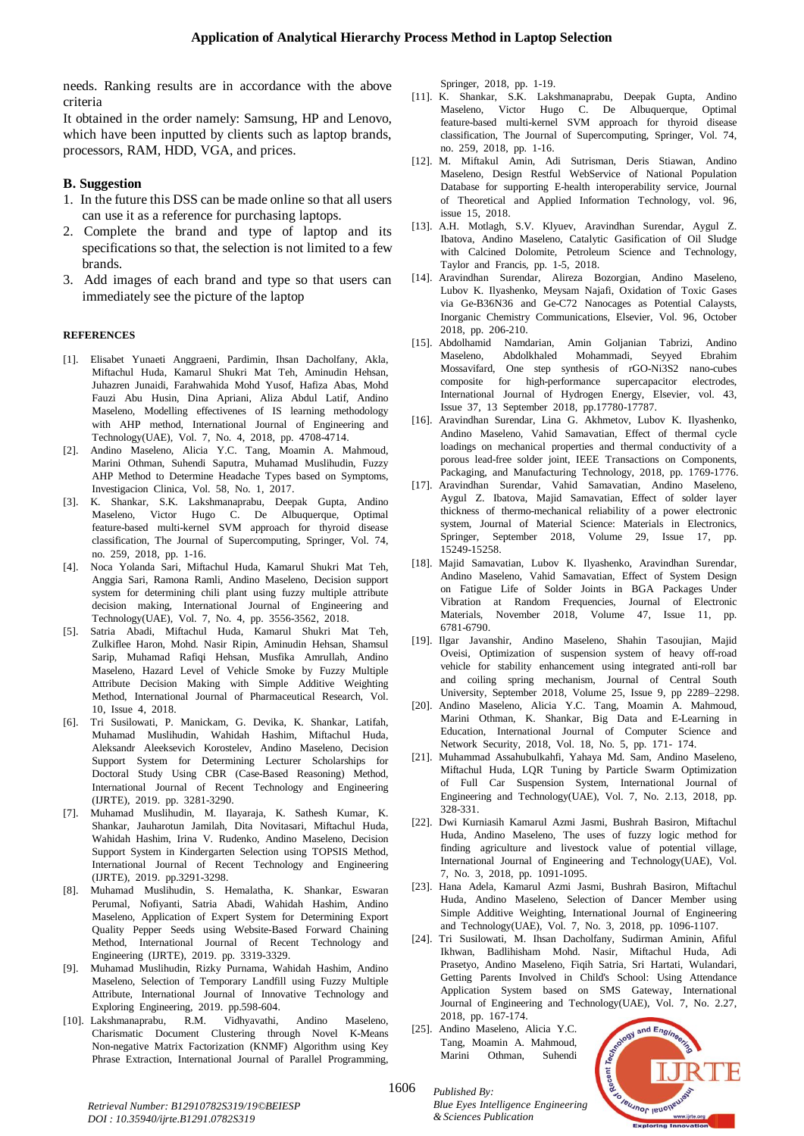needs. Ranking results are in accordance with the above criteria

It obtained in the order namely: Samsung, HP and Lenovo, which have been inputted by clients such as laptop brands, processors, RAM, HDD, VGA, and prices.

- **B. Suggestion**
- 1. In the future this DSS can be made online so that all users can use it as a reference for purchasing laptops.
- 2. Complete the brand and type of laptop and its specifications so that, the selection is not limited to a few brands.
- 3. Add images of each brand and type so that users can immediately see the picture of the laptop

#### **REFERENCES**

- [1]. Elisabet Yunaeti Anggraeni, Pardimin, Ihsan Dacholfany, Akla, Miftachul Huda, Kamarul Shukri Mat Teh, Aminudin Hehsan, Juhazren Junaidi, Farahwahida Mohd Yusof, Hafiza Abas, Mohd Fauzi Abu Husin, Dina Apriani, Aliza Abdul Latif, Andino Maseleno, Modelling effectivenes of IS learning methodology with AHP method, International Journal of Engineering and Technology(UAE), Vol. 7, No. 4, 2018, pp. 4708-4714.
- [2]. Andino Maseleno, Alicia Y.C. Tang, Moamin A. Mahmoud, Marini Othman, Suhendi Saputra, Muhamad Muslihudin, Fuzzy AHP Method to Determine Headache Types based on Symptoms, Investigacion Clinica, Vol. 58, No. 1, 2017.
- [3]. K. Shankar, S.K. Lakshmanaprabu, Deepak Gupta, Andino Maseleno, Victor Hugo C. De Albuquerque, Optimal feature-based multi-kernel SVM approach for thyroid disease classification, The Journal of Supercomputing, Springer, Vol. 74, no. 259, 2018, pp. 1-16.
- [4]. Noca Yolanda Sari, Miftachul Huda, Kamarul Shukri Mat Teh, Anggia Sari, Ramona Ramli, Andino Maseleno, Decision support system for determining chili plant using fuzzy multiple attribute decision making, International Journal of Engineering and Technology(UAE), Vol. 7, No. 4, pp. 3556-3562, 2018.
- Satria Abadi, Miftachul Huda, Kamarul Shukri Mat Teh, Zulkiflee Haron, Mohd. Nasir Ripin, Aminudin Hehsan, Shamsul Sarip, Muhamad Rafiqi Hehsan, Musfika Amrullah, Andino Maseleno, Hazard Level of Vehicle Smoke by Fuzzy Multiple Attribute Decision Making with Simple Additive Weighting Method, International Journal of Pharmaceutical Research, Vol. 10, Issue 4, 2018.
- Tri Susilowati, P. Manickam, G. Devika, K. Shankar, Latifah, Muhamad Muslihudin, Wahidah Hashim, Miftachul Huda, Aleksandr Aleeksevich Korostelev, Andino Maseleno, Decision Support System for Determining Lecturer Scholarships for Doctoral Study Using CBR (Case-Based Reasoning) Method, International Journal of Recent Technology and Engineering (IJRTE), 2019. pp. 3281-3290.
- [7]. Muhamad Muslihudin, M. Ilayaraja, K. Sathesh Kumar, K. Shankar, Jauharotun Jamilah, Dita Novitasari, Miftachul Huda, Wahidah Hashim, Irina V. Rudenko, Andino Maseleno, Decision Support System in Kindergarten Selection using TOPSIS Method, International Journal of Recent Technology and Engineering (IJRTE), 2019. pp.3291-3298.
- [8]. Muhamad Muslihudin, S. Hemalatha, K. Shankar, Eswaran Perumal, Nofiyanti, Satria Abadi, Wahidah Hashim, Andino Maseleno, Application of Expert System for Determining Export Quality Pepper Seeds using Website-Based Forward Chaining Method, International Journal of Recent Technology and Engineering (IJRTE), 2019. pp. 3319-3329.
- [9]. Muhamad Muslihudin, Rizky Purnama, Wahidah Hashim, Andino Maseleno, Selection of Temporary Landfill using Fuzzy Multiple Attribute, International Journal of Innovative Technology and Exploring Engineering, 2019. pp.598-604.
- [10]. Lakshmanaprabu, R.M. Vidhyavathi, Andino Maseleno, Charismatic Document Clustering through Novel K-Means Non-negative Matrix Factorization (KNMF) Algorithm using Key Phrase Extraction, International Journal of Parallel Programming,

Springer, 2018, pp. 1-19.

- [11]. K. Shankar, S.K. Lakshmanaprabu, Deepak Gupta, Andino Maseleno, Victor Hugo C. De Albuquerque, Optimal feature-based multi-kernel SVM approach for thyroid disease classification, The Journal of Supercomputing, Springer, Vol. 74, no. 259, 2018, pp. 1-16.
- [12]. M. Miftakul Amin, Adi Sutrisman, Deris Stiawan, Andino Maseleno, Design Restful WebService of National Population Database for supporting E-health interoperability service, Journal of Theoretical and Applied Information Technology, vol. 96, issue 15, 2018.
- [13]. A.H. Motlagh, S.V. Klyuev, Aravindhan Surendar, Aygul Z. Ibatova, Andino Maseleno, Catalytic Gasification of Oil Sludge with Calcined Dolomite, Petroleum Science and Technology, Taylor and Francis, pp. 1-5, 2018.
- [14]. Aravindhan Surendar, Alireza Bozorgian, Andino Maseleno, Lubov K. Ilyashenko, Meysam Najafi, Oxidation of Toxic Gases via Ge-B36N36 and Ge-C72 Nanocages as Potential Calaysts, Inorganic Chemistry Communications, Elsevier, Vol. 96, October 2018, pp. 206-210.
- [15]. Abdolhamid Namdarian, Amin Goljanian Tabrizi, Andino Maseleno, Abdolkhaled Mohammadi, Seyyed Ebrahim Mossavifard, One step synthesis of rGO-Ni3S2 nano-cubes composite for high-performance supercapacitor electrodes, International Journal of Hydrogen Energy, Elsevier, vol. 43, Issue 37, 13 September 2018, pp.17780-17787.
- [16]. Aravindhan Surendar, Lina G. Akhmetov, Lubov K. Ilyashenko, Andino Maseleno, Vahid Samavatian, Effect of thermal cycle loadings on mechanical properties and thermal conductivity of a porous lead-free solder joint, IEEE Transactions on Components, Packaging, and Manufacturing Technology, 2018, pp. 1769-1776.
- [17]. Aravindhan Surendar, Vahid Samavatian, Andino Maseleno, Aygul Z. Ibatova, Majid Samavatian, Effect of solder layer thickness of thermo-mechanical reliability of a power electronic system, Journal of Material Science: Materials in Electronics, Springer, September 2018, Volume 29, Issue 17, pp. 15249-15258.
- [18]. Majid Samavatian, Lubov K. Ilyashenko, Aravindhan Surendar, Andino Maseleno, Vahid Samavatian, Effect of System Design on Fatigue Life of Solder Joints in BGA Packages Under Vibration at Random Frequencies, Journal of Electronic Materials, November 2018, Volume 47, Issue 11, pp. 6781-6790.<sup>T</sup>
- [19]. Ilgar Javanshir, Andino Maseleno, Shahin Tasoujian, Majid Oveisi, Optimization of suspension system of heavy off-road vehicle for stability enhancement using integrated anti-roll bar and coiling spring mechanism, Journal of Central South University, September 2018, Volume 25, Issue 9, pp 2289–2298.
- [20]. Andino Maseleno, Alicia Y.C. Tang, Moamin A. Mahmoud, Marini Othman, K. Shankar, Big Data and E-Learning in Education, International Journal of Computer Science and Network Security, 2018, Vol. 18, No. 5, pp. 171- 174.
- [21]. Muhammad Assahubulkahfi, Yahaya Md. Sam, Andino Maseleno, Miftachul Huda, LQR Tuning by Particle Swarm Optimization of Full Car Suspension System, International Journal of Engineering and Technology(UAE), Vol. 7, No. 2.13, 2018, pp. 328-331.
- [22]. Dwi Kurniasih Kamarul Azmi Jasmi, Bushrah Basiron, Miftachul Huda, Andino Maseleno, The uses of fuzzy logic method for finding agriculture and livestock value of potential village, International Journal of Engineering and Technology(UAE), Vol. 7, No. 3, 2018, pp. 1091-1095.
- [23]. Hana Adela, Kamarul Azmi Jasmi, Bushrah Basiron, Miftachul Huda, Andino Maseleno, Selection of Dancer Member using Simple Additive Weighting, International Journal of Engineering and Technology(UAE), Vol. 7, No. 3, 2018, pp. 1096-1107.
- [24]. Tri Susilowati, M. Ihsan Dacholfany, Sudirman Aminin, Afiful Ikhwan, Badlihisham Mohd. Nasir, Miftachul Huda, Adi Prasetyo, Andino Maseleno, Fiqih Satria, Sri Hartati, Wulandari, Getting Parents Involved in Child's School: Using Attendance Application System based on SMS Gateway, International Journal of Engineering and Technology(UAE), Vol. 7, No. 2.27, 2018, pp. 167-174.
- [25]. Andino Maseleno, Alicia Y.C. Tang, Moamin A. Mahmoud, Marini Othman, Suhendi



*Retrieval Number: B12910782S319/19©BEIESP DOI : 10.35940/ijrte.B1291.0782S319*

1606 *Published By:*

*Blue Eyes Intelligence Engineering & Sciences Publication*